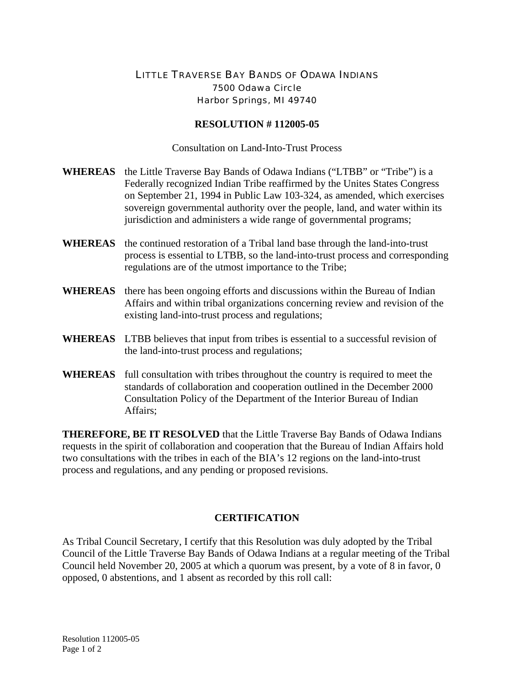## LITTLE TRAVERSE BAY BANDS OF ODAWA INDIANS 7500 Odawa Circle Harbor Springs, MI 49740

## **RESOLUTION # 112005-05**

Consultation on Land-Into-Trust Process

- **WHEREAS** the Little Traverse Bay Bands of Odawa Indians ("LTBB" or "Tribe") is a Federally recognized Indian Tribe reaffirmed by the Unites States Congress on September 21, 1994 in Public Law 103-324, as amended, which exercises sovereign governmental authority over the people, land, and water within its jurisdiction and administers a wide range of governmental programs;
- **WHEREAS** the continued restoration of a Tribal land base through the land-into-trust process is essential to LTBB, so the land-into-trust process and corresponding regulations are of the utmost importance to the Tribe;
- **WHEREAS** there has been ongoing efforts and discussions within the Bureau of Indian Affairs and within tribal organizations concerning review and revision of the existing land-into-trust process and regulations;
- **WHEREAS** LTBB believes that input from tribes is essential to a successful revision of the land-into-trust process and regulations;
- **WHEREAS** full consultation with tribes throughout the country is required to meet the standards of collaboration and cooperation outlined in the December 2000 Consultation Policy of the Department of the Interior Bureau of Indian Affairs;

**THEREFORE, BE IT RESOLVED** that the Little Traverse Bay Bands of Odawa Indians requests in the spirit of collaboration and cooperation that the Bureau of Indian Affairs hold two consultations with the tribes in each of the BIA's 12 regions on the land-into-trust process and regulations, and any pending or proposed revisions.

## **CERTIFICATION**

As Tribal Council Secretary, I certify that this Resolution was duly adopted by the Tribal Council of the Little Traverse Bay Bands of Odawa Indians at a regular meeting of the Tribal Council held November 20, 2005 at which a quorum was present, by a vote of 8 in favor, 0 opposed, 0 abstentions, and 1 absent as recorded by this roll call: